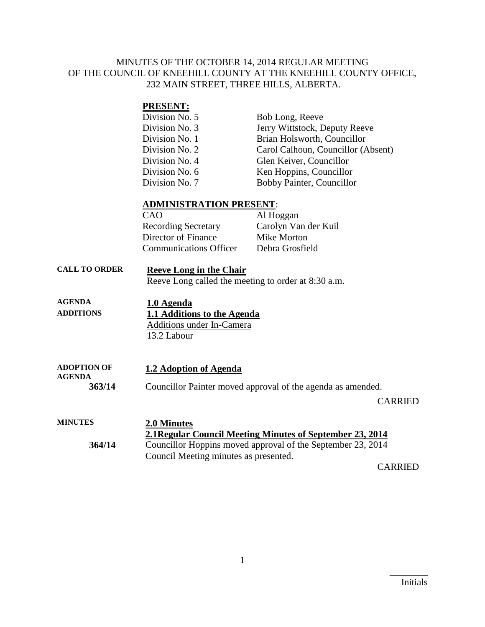### MINUTES OF THE OCTOBER 14, 2014 REGULAR MEETING OF THE COUNCIL OF KNEEHILL COUNTY AT THE KNEEHILL COUNTY OFFICE, 232 MAIN STREET, THREE HILLS, ALBERTA.

### **PRESENT:**

| Division No. 5 | Bob Long, Reeve                    |
|----------------|------------------------------------|
| Division No. 3 | Jerry Wittstock, Deputy Reeve      |
| Division No. 1 | Brian Holsworth, Councillor        |
| Division No. 2 | Carol Calhoun, Councillor (Absent) |
| Division No. 4 | Glen Keiver, Councillor            |
| Division No. 6 | Ken Hoppins, Councillor            |
| Division No. 7 | Bobby Painter, Councillor          |

#### **ADMINISTRATION PRESENT**:

| CAO                           | Al Hoggan            |
|-------------------------------|----------------------|
| <b>Recording Secretary</b>    | Carolyn Van der Kuil |
| Director of Finance           | Mike Morton          |
| <b>Communications Officer</b> | Debra Grosfield      |
|                               |                      |

**CALL TO ORDER Reeve Long in the Chair** Reeve Long called the meeting to order at 8:30 a.m.

| AGENDA           | 1.0 Agenda                  |  |
|------------------|-----------------------------|--|
| <b>ADDITIONS</b> | 1.1 Additions to the Agenda |  |
|                  | Additions under In-Camera   |  |
|                  | 13.2 Labour                 |  |

| <b>ADOPTION OF</b><br><b>AGENDA</b> | 1.2 Adoption of Agenda                                      |
|-------------------------------------|-------------------------------------------------------------|
| 363/14                              | Councillor Painter moved approval of the agenda as amended. |
|                                     | <b>CARRIED</b>                                              |
| <b>MINUTES</b>                      | 2.0 Minutes                                                 |
|                                     | 2.1 Regular Council Meeting Minutes of September 23, 2014   |
| 361/11                              | Councillor Honning moved approval of the September 23, 2014 |

**364/14** Councillor Hoppins moved approval of the September 23, 2014 Council Meeting minutes as presented.

CARRIED

 $\overline{\phantom{a}}$  . The set of the set of the set of the set of the set of the set of the set of the set of the set of the set of the set of the set of the set of the set of the set of the set of the set of the set of the set o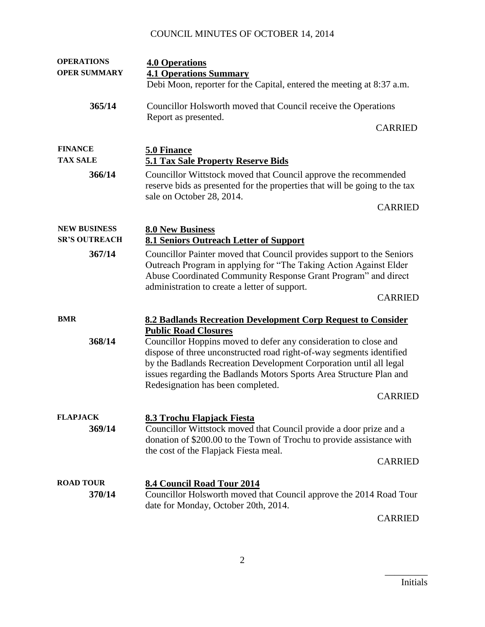# COUNCIL MINUTES OF OCTOBER 14, 2014

| <b>OPERATIONS</b>    | <b>4.0 Operations</b>                                                                                                                                                      |
|----------------------|----------------------------------------------------------------------------------------------------------------------------------------------------------------------------|
| <b>OPER SUMMARY</b>  | <b>4.1 Operations Summary</b>                                                                                                                                              |
|                      | Debi Moon, reporter for the Capital, entered the meeting at 8:37 a.m.                                                                                                      |
| 365/14               | Councillor Holsworth moved that Council receive the Operations<br>Report as presented.                                                                                     |
|                      | <b>CARRIED</b>                                                                                                                                                             |
| <b>FINANCE</b>       | 5.0 Finance                                                                                                                                                                |
| <b>TAX SALE</b>      | <b>5.1 Tax Sale Property Reserve Bids</b>                                                                                                                                  |
| 366/14               | Councillor Wittstock moved that Council approve the recommended<br>reserve bids as presented for the properties that will be going to the tax<br>sale on October 28, 2014. |
|                      | <b>CARRIED</b>                                                                                                                                                             |
| <b>NEW BUSINESS</b>  | <b>8.0 New Business</b>                                                                                                                                                    |
| <b>SR'S OUTREACH</b> | <b>8.1 Seniors Outreach Letter of Support</b>                                                                                                                              |
| 367/14               | Councillor Painter moved that Council provides support to the Seniors                                                                                                      |
|                      | Outreach Program in applying for "The Taking Action Against Elder                                                                                                          |
|                      | Abuse Coordinated Community Response Grant Program" and direct                                                                                                             |
|                      | administration to create a letter of support.                                                                                                                              |
|                      | <b>CARRIED</b>                                                                                                                                                             |
| <b>BMR</b>           | 8.2 Badlands Recreation Development Corp Request to Consider                                                                                                               |
|                      | <b>Public Road Closures</b>                                                                                                                                                |
| 368/14               | Councillor Hoppins moved to defer any consideration to close and                                                                                                           |
|                      | dispose of three unconstructed road right-of-way segments identified                                                                                                       |
|                      | by the Badlands Recreation Development Corporation until all legal                                                                                                         |
|                      | issues regarding the Badlands Motors Sports Area Structure Plan and                                                                                                        |
|                      | Redesignation has been completed.                                                                                                                                          |
|                      | <b>CARRIED</b>                                                                                                                                                             |
| <b>FLAPJACK</b>      | 8.3 Trochu Flapjack Fiesta                                                                                                                                                 |
| 369/14               | Councillor Wittstock moved that Council provide a door prize and a                                                                                                         |
|                      | donation of \$200.00 to the Town of Trochu to provide assistance with                                                                                                      |
|                      | the cost of the Flapjack Fiesta meal.                                                                                                                                      |
|                      | <b>CARRIED</b>                                                                                                                                                             |
| <b>ROAD TOUR</b>     |                                                                                                                                                                            |
| 370/14               | 8.4 Council Road Tour 2014<br>Councillor Holsworth moved that Council approve the 2014 Road Tour                                                                           |
|                      | date for Monday, October 20th, 2014.                                                                                                                                       |
|                      | $\alpha$ and then                                                                                                                                                          |

CARRIED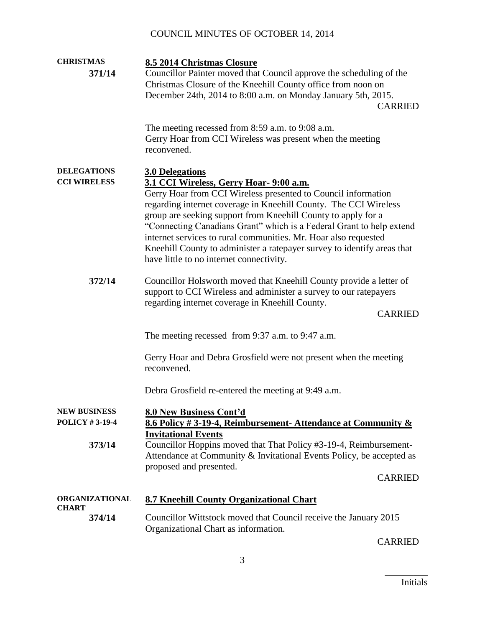# COUNCIL MINUTES OF OCTOBER 14, 2014

| <b>CHRISTMAS</b>                             | 8.5 2014 Christmas Closure                                                                                                                                                                                                                                                                                                                                                                                                                                                                                      |
|----------------------------------------------|-----------------------------------------------------------------------------------------------------------------------------------------------------------------------------------------------------------------------------------------------------------------------------------------------------------------------------------------------------------------------------------------------------------------------------------------------------------------------------------------------------------------|
| 371/14                                       | Councillor Painter moved that Council approve the scheduling of the<br>Christmas Closure of the Kneehill County office from noon on<br>December 24th, 2014 to 8:00 a.m. on Monday January 5th, 2015.<br><b>CARRIED</b>                                                                                                                                                                                                                                                                                          |
|                                              | The meeting recessed from 8:59 a.m. to 9:08 a.m.<br>Gerry Hoar from CCI Wireless was present when the meeting<br>reconvened.                                                                                                                                                                                                                                                                                                                                                                                    |
| <b>DELEGATIONS</b>                           | <b>3.0 Delegations</b>                                                                                                                                                                                                                                                                                                                                                                                                                                                                                          |
| <b>CCI WIRELESS</b>                          | 3.1 CCI Wireless, Gerry Hoar- 9:00 a.m.<br>Gerry Hoar from CCI Wireless presented to Council information<br>regarding internet coverage in Kneehill County. The CCI Wireless<br>group are seeking support from Kneehill County to apply for a<br>"Connecting Canadians Grant" which is a Federal Grant to help extend<br>internet services to rural communities. Mr. Hoar also requested<br>Kneehill County to administer a ratepayer survey to identify areas that<br>have little to no internet connectivity. |
| 372/14                                       | Councillor Holsworth moved that Kneehill County provide a letter of<br>support to CCI Wireless and administer a survey to our ratepayers<br>regarding internet coverage in Kneehill County.<br><b>CARRIED</b>                                                                                                                                                                                                                                                                                                   |
|                                              | The meeting recessed from 9:37 a.m. to 9:47 a.m.                                                                                                                                                                                                                                                                                                                                                                                                                                                                |
|                                              | Gerry Hoar and Debra Grosfield were not present when the meeting<br>reconvened.                                                                                                                                                                                                                                                                                                                                                                                                                                 |
|                                              | Debra Grosfield re-entered the meeting at 9:49 a.m.                                                                                                                                                                                                                                                                                                                                                                                                                                                             |
| <b>NEW BUSINESS</b><br><b>POLICY #3-19-4</b> | 8.0 New Business Cont'd<br>8.6 Policy #3-19-4, Reimbursement-Attendance at Community &<br><b>Invitational Events</b>                                                                                                                                                                                                                                                                                                                                                                                            |
| 373/14                                       | Councillor Hoppins moved that That Policy #3-19-4, Reimbursement-<br>Attendance at Community & Invitational Events Policy, be accepted as<br>proposed and presented.                                                                                                                                                                                                                                                                                                                                            |
|                                              | <b>CARRIED</b>                                                                                                                                                                                                                                                                                                                                                                                                                                                                                                  |
| <b>ORGANIZATIONAL</b><br><b>CHART</b>        | 8.7 Kneehill County Organizational Chart                                                                                                                                                                                                                                                                                                                                                                                                                                                                        |
| 374/14                                       | Councillor Wittstock moved that Council receive the January 2015<br>Organizational Chart as information.                                                                                                                                                                                                                                                                                                                                                                                                        |
|                                              |                                                                                                                                                                                                                                                                                                                                                                                                                                                                                                                 |

CARRIED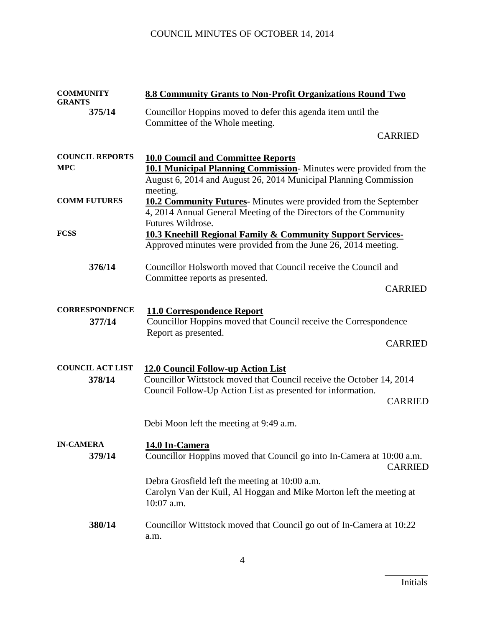| <b>COMMUNITY</b><br><b>GRANTS</b>    | 8.8 Community Grants to Non-Profit Organizations Round Two                                                                                                                                             |                |
|--------------------------------------|--------------------------------------------------------------------------------------------------------------------------------------------------------------------------------------------------------|----------------|
| 375/14                               | Councillor Hoppins moved to defer this agenda item until the<br>Committee of the Whole meeting.                                                                                                        |                |
|                                      |                                                                                                                                                                                                        | <b>CARRIED</b> |
| <b>COUNCIL REPORTS</b><br><b>MPC</b> | <b>10.0 Council and Committee Reports</b><br><b>10.1 Municipal Planning Commission</b> -Minutes were provided from the<br>August 6, 2014 and August 26, 2014 Municipal Planning Commission<br>meeting. |                |
| <b>COMM FUTURES</b>                  | <b>10.2 Community Futures</b> -Minutes were provided from the September<br>4, 2014 Annual General Meeting of the Directors of the Community<br>Futures Wildrose.                                       |                |
| <b>FCSS</b>                          | <b>10.3 Kneehill Regional Family &amp; Community Support Services-</b><br>Approved minutes were provided from the June 26, 2014 meeting.                                                               |                |
| 376/14                               | Councillor Holsworth moved that Council receive the Council and<br>Committee reports as presented.                                                                                                     |                |
|                                      |                                                                                                                                                                                                        | <b>CARRIED</b> |
| <b>CORRESPONDENCE</b><br>377/14      | 11.0 Correspondence Report<br>Councillor Hoppins moved that Council receive the Correspondence<br>Report as presented.                                                                                 | <b>CARRIED</b> |
| <b>COUNCIL ACT LIST</b><br>378/14    | <b>12.0 Council Follow-up Action List</b><br>Councillor Wittstock moved that Council receive the October 14, 2014<br>Council Follow-Up Action List as presented for information.                       | <b>CARRIED</b> |
|                                      | Debi Moon left the meeting at 9:49 a.m.                                                                                                                                                                |                |
| <b>IN-CAMERA</b><br>379/14           | 14.0 In-Camera<br>Councillor Hoppins moved that Council go into In-Camera at 10:00 a.m.                                                                                                                | <b>CARRIED</b> |
|                                      | Debra Grosfield left the meeting at 10:00 a.m.<br>Carolyn Van der Kuil, Al Hoggan and Mike Morton left the meeting at<br>10:07 a.m.                                                                    |                |
| 380/14                               | Councillor Wittstock moved that Council go out of In-Camera at 10:22<br>a.m.                                                                                                                           |                |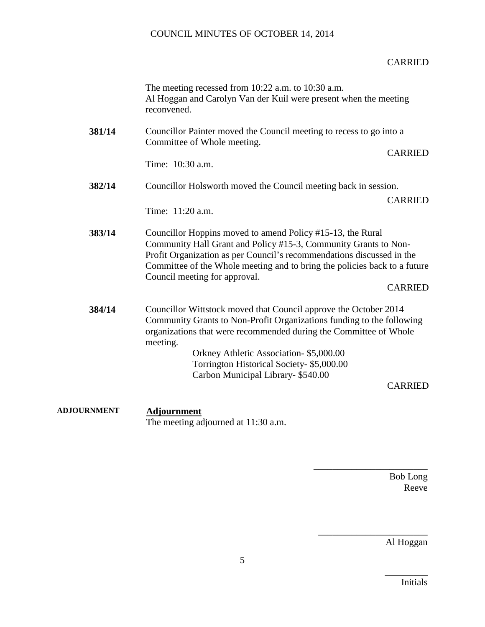## COUNCIL MINUTES OF OCTOBER 14, 2014

#### CARRIED

|        | The meeting recessed from $10:22$ a.m. to $10:30$ a.m.<br>Al Hoggan and Carolyn Van der Kuil were present when the meeting<br>reconvened.                                                                                                                                                                                                                                 |
|--------|---------------------------------------------------------------------------------------------------------------------------------------------------------------------------------------------------------------------------------------------------------------------------------------------------------------------------------------------------------------------------|
| 381/14 | Councillor Painter moved the Council meeting to recess to go into a<br>Committee of Whole meeting.<br><b>CARRIED</b><br>Time: 10:30 a.m.                                                                                                                                                                                                                                  |
| 382/14 | Councillor Holsworth moved the Council meeting back in session.<br><b>CARRIED</b><br>Time: 11:20 a.m.                                                                                                                                                                                                                                                                     |
| 383/14 | Councillor Hoppins moved to amend Policy #15-13, the Rural<br>Community Hall Grant and Policy #15-3, Community Grants to Non-<br>Profit Organization as per Council's recommendations discussed in the<br>Committee of the Whole meeting and to bring the policies back to a future<br>Council meeting for approval.<br><b>CARRIED</b>                                    |
| 384/14 | Councillor Wittstock moved that Council approve the October 2014<br>Community Grants to Non-Profit Organizations funding to the following<br>organizations that were recommended during the Committee of Whole<br>meeting.<br>Orkney Athletic Association- \$5,000.00<br>Torrington Historical Society- \$5,000.00<br>Carbon Municipal Library-\$540.00<br><b>CARRIED</b> |

**ADJOURNMENT Adjournment** The meeting adjourned at 11:30 a.m.

> Bob Long Reeve

\_\_\_\_\_\_\_\_\_\_\_\_\_\_\_\_\_\_\_\_\_\_\_\_

\_\_\_\_\_\_\_\_\_\_\_\_\_\_\_\_\_\_\_\_\_\_\_

Al Hoggan